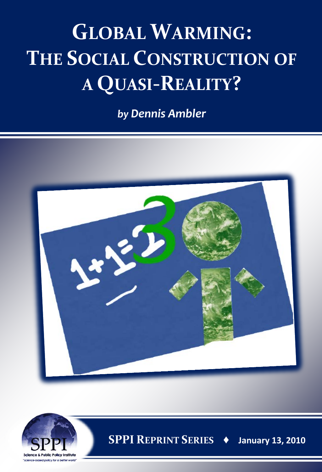# **GLOBAL WARMING: THE SOCIAL CONSTRUCTION OF A QUASI-REALITY?**

*by Dennis Ambler*





 **SPPI REPRINT SERIES ♦ January 13, 2010**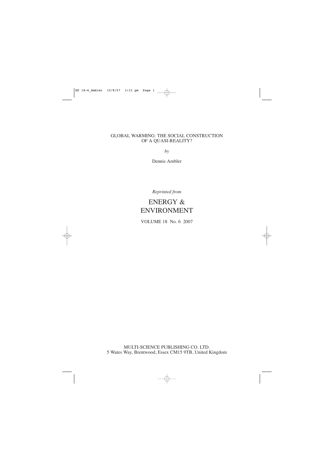#### GLOBAL WARMING: THE SOCIAL CONSTRUCTION OF A QUASI-REALITY?

*by*

Dennis Ambler

*Reprinted from*

### ENERGY & ENVIRONMENT

VOLUME 18 No. 6 2007

MULTI-SCIENCE PUBLISHING CO. LTD. 5 Wates Way, Brentwood, Essex CM15 9TB, United Kingdom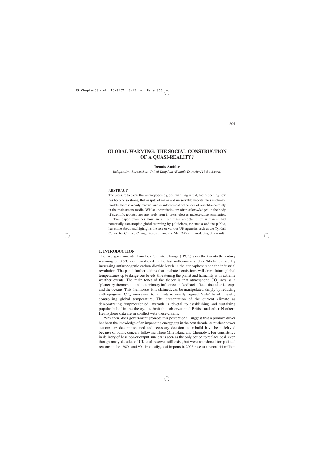#### **GLOBAL WARMING: THE SOCIAL CONSTRUCTION OF A QUASI-REALITY?**

#### **Dennis Ambler**

*Independent Researcher, United Kingdom (E-mail: DAmbler318@aol.com)*

#### **ABSTRACT**

The pressure to prove that anthropogenic global warming is real, and happening now has become so strong, that in spite of major and irresolvable uncertainties in climate models, there is a daily renewal and re-inforcement of the idea of scientific certainty in the mainstream media. Whilst uncertainties are often acknowledged in the body of scientific reports, they are rarely seen in press releases and executive summaries.

This paper examines how an almost mass acceptance of imminent and potentially catastrophic global warming by politicians, the media and the public, has come about and highlights the role of various UK agencies such as the Tyndall Centre for Climate Change Research and the Met Office in producing this result.

#### **1. INTRODUCTION**

The Intergovernmental Panel on Climate Change (IPCC) says the twentieth century warming of 0.6ºC is unparalleled in the last millennium and is 'likely' caused by increasing anthropogenic carbon dioxide levels in the atmosphere since the industrial revolution. The panel further claims that unabated emissions will drive future global temperatures up to dangerous levels, threatening the planet and humanity with extreme weather events. The main tenet of the theory is that atmospheric  $CO<sub>2</sub>$  acts as a 'planetary thermostat' and is a primary influence on feedback effects that alter ice caps and the oceans. This thermostat, it is claimed, can be manipulated simply by reducing anthropogenic CO<sub>2</sub> emissions to an internationally agreed 'safe' level, thereby controlling global temperature. The presentation of the current climate as demonstrating 'unprecedented' warmth is pivotal to establishing and sustaining popular belief in the theory. I submit that observational British and other Northern Hemisphere data are in conflict with these claims.

Why then, does government promote this perception? I suggest that a primary driver has been the knowledge of an impending energy gap in the next decade, as nuclear power stations are decommissioned and necessary decisions to rebuild have been delayed because of public concern following Three Mile Island and Chernobyl. For consistency in delivery of base power output, nuclear is seen as the only option to replace coal, even though many decades of UK coal reserves still exist, but were abandoned for political reasons in the 1980s and 90s. Ironically, coal imports in 2005 rose to a record 44 million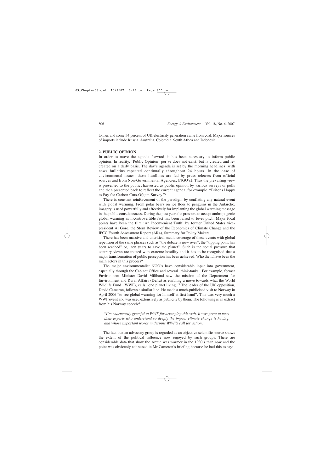tonnes and some 34 percent of UK electricity generation came from coal. Major sources of imports include Russia, Australia, Colombia, South Africa and Indonesia.1

#### **2. PUBLIC OPINION**

In order to move the agenda forward, it has been necessary to inform public opinion. In reality, 'Public Opinion' per se does not exist, but is created and recreated on a daily basis. The day's agenda is set by the morning headlines, with news bulletins repeated continually throughout 24 hours. In the case of environmental issues, those headlines are fed by press releases from official sources and from Non-Governmental Agencies, (NGO's). Thus the prevailing view is presented to the public, harvested as public opinion by various surveys or polls and then presented back to reflect the current agenda, for example, "Britons Happy to Pay for Carbon Cuts-Ofgem Survey."2

There is constant reinforcement of the paradigm by conflating any natural event with global warming. From polar bears on ice floes to penguins in the Antarctic, imagery is used powerfully and effectively for implanting the global warming message in the public consciousness. During the past year, the pressure to accept anthropogenic global warming as incontrovertible fact has been raised to fever pitch. Major focal points have been the film 'An Inconvenient Truth' by former United States vicepresident Al Gore, the Stern Review of the Economics of Climate Change and the IPCC Fourth Assessment Report (AR4), Summary for Policy Makers.

There has been massive and uncritical media coverage of these events with global repetition of the same phrases such as "the debate is now over", the "tipping point has been reached" or, "ten years to save the planet". Such is the social pressure that contrary views are treated with extreme hostility and it has to be recognised that a major transformation of public perception has been achieved. Who then, have been the main actors in this process?

The major environmentalist NGO's have considerable input into government, especially through the Cabinet Office and several 'think-tanks'. For example, former Environment Minister David Miliband saw the mission of the Department for Environment and Rural Affairs (Defra) as enabling a move towards what the World Wildlife Fund, (WWF), calls "one planet living."<sup>3</sup> The leader of the UK opposition, David Cameron, follows a similar line. He made a much-publicised visit to Norway in April 2006 "to see global warming for himself at first hand". This was very much a WWF event and was used extensively as publicity by them. The following is an extract from his Norway speech:<sup>4</sup>

"*I'm enormously grateful to WWF for arranging this visit. It was great to meet their experts who understand so deeply the impact climate change is having, and whose important works underpins WWF's call for action.*"

The fact that an advocacy group is regarded as an objective scientific source shows the extent of the political influence now enjoyed by such groups. There are considerable data that show the Arctic was warmer in the 1930's than now and the point was obviously addressed in Mr Cameron's briefing because he had this to say: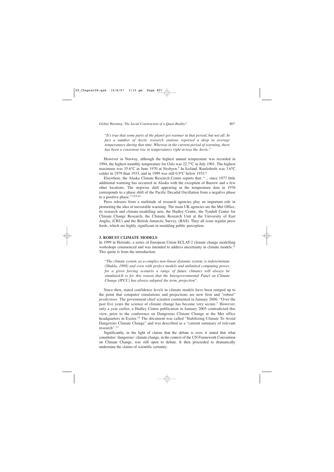"*It's true that some parts of the planet got warmer in that period, but not all. In fact a number of Arctic research stations reported a drop in average temperatures during that time. Whereas in the current period of warming, there has been a consistent rise in temperatures right across the Arctic.*"

However in Norway, although the highest annual temperature was recorded in 1994, the highest monthly temperature for Oslo was 22.7°C in July 1901. The highest maximum was 35.6°C in June 1970 at Nesbyen.<sup>5</sup> In Iceland, Rauferhofn was 3.6°C colder in 1979 than 1933, and in 1999 was still 0.9°C below 1933.6

Elsewhere, the Alaska Climate Research Centre reports that: "... since 1977 little additional warming has occurred in Alaska with the exception of Barrow and a few other locations. The stepwise shift appearing in the temperature data in 1976 corresponds to a phase shift of the Pacific Decadal Oscillation from a negative phase to a positive phase."7,8,9,10

Press releases from a multitude of research agencies play an important role in promoting the idea of inexorable warming. The main UK agencies are the Met Office, its research and climate-modelling arm, the Hadley Centre, the Tyndall Centre for Climate Change Research, the Climatic Research Unit at the University of East Anglia, (CRU) and the British Antarctic Survey, (BAS). They all issue regular press feeds, which are highly significant in moulding public perception.

#### **3. ROBUST CLIMATE MODELS**

In 1999 in Helsinki, a series of European Union ECLAT-2 climate change modelling workshops commenced and was intended to address uncertainty in climate models.<sup>11</sup> This quote is from the introduction:

"*The climate system, as a complex non-linear dynamic system, is indeterminate (Shukla, 1998) and even with perfect models and unlimited computing power, for a given forcing scenario a range of future climates will always be simulated.It is for this reason that the Intergovernmental Panel on Climate Change (IPCC) has always adopted the term, projection*".

Since then, stated confidence levels in climate models have been ramped up to the point that computer simulations and projections are now firm and "robust" *predictions*. The government chief scientist commented in January 2006: "Over the past five years the science of climate change has become very secure." However, only a year earlier, a Hadley Centre publication in January 2005 contradicted this view, prior to the conference on Dangerous Climate Change at the Met office headquarters in Exeter.<sup>12</sup> The document was called "Stabilizing Climate To Avoid Dangerous Climate Change" and was described as a "current summary of relevant research".<sup>13</sup>

Significantly, in the light of claims that the debate is over, it stated that what constitutes 'dangerous' climate change, in the context of the UN Framework Convention on Climate Change, was still open to debate. It then proceeded to dramatically undermine the claims of scientific certainty: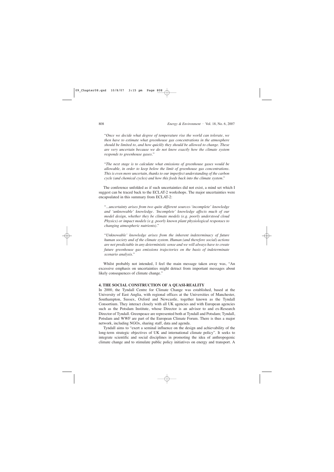"*Once we decide what degree of temperature rise the world can tolerate, we then have to estimate what greenhouse gas concentrations in the atmosphere should be limited to, and how quickly they should be allowed to change. These are very uncertain because we do not know exactly how the climate system responds to greenhouse gases.*"

"*The next stage is to calculate what emissions of greenhouse gases would be allowable, in order to keep below the limit of greenhouse gas concentrations. This is even more uncertain, thanks to our imperfect understanding of the carbon cycle (and chemical cycles) and how this feeds back into the climate system.*"

The conference unfolded as if such uncertainties did not exist, a mind set which I suggest can be traced back to the ECLAT-2 workshops. The major uncertainties were encapsulated in this summary from ECLAT-2:

"*...uncertainty arises from two quite different sources-'incomplete' knowledge and 'unknowable' knowledge. 'Incomplete' knowledge affects much of our model design, whether they be climate models (e.g. poorly understood cloud Physics) or impact models (e.g. poorly known plant physiological responses to changing atmospheric nutrients).*"

"*Unknowable' knowledge arises from the inherent indeterminacy of future human society and of the climate system. Human (and therefore social) actions are not predictable in any deterministic sense and we will always have to create future greenhouse gas emissions trajectories on the basis of indeterminate scenario analysis.*"

Whilst probably not intended, I feel the main message taken away was, "An excessive emphasis on uncertainties might detract from important messages about likely consequences of climate change."

#### **4. THE SOCIAL CONSTRUCTION OF A QUASI-REALITY**

In 2000, the Tyndall Centre for Climate Change was established, based at the University of East Anglia, with regional offices at the Universities of Manchester, Southampton, Sussex, Oxford and Newcastle, together known as the Tyndall Consortium. They interact closely with all UK agencies and with European agencies such as the Potsdam Institute, whose Director is an advisor to and ex-Research Director of Tyndall. Greenpeace are represented both at Tyndall and Potsdam; Tyndall, Potsdam and WWF are part of the European Climate Forum. There is thus a major network, including NGOs, sharing staff, data and agenda.

Tyndall aims to "exert a seminal influence on the design and achievability of the long-term strategic objectives of UK and international climate policy". It seeks to integrate scientific and social disciplines in promoting the idea of anthropogenic climate change and to stimulate public policy initiatives on energy and transport. A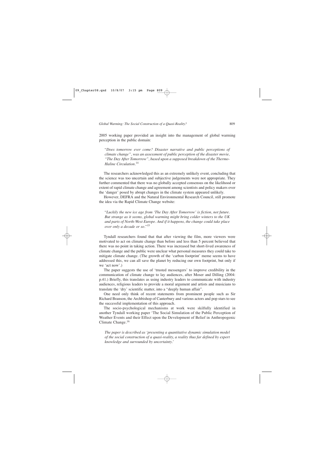2005 working paper provided an insight into the management of global warming perception in the public domain:

"*Does tomorrow ever come? Disaster narrative and public perceptions of climate change", was an assessment of public perception of the disaster movie, "The Day After Tomorrow", based upon a supposed breakdown of the Thermo-Haline Circulation.*<sup>14</sup>

The researchers acknowledged this as an extremely unlikely event, concluding that the science was too uncertain and subjective judgements were not appropriate. They further commented that there was no globally accepted consensus on the likelihood or extent of rapid climate change and agreement among scientists and policy makers over the 'danger' posed by abrupt changes in the climate system appeared unlikely.

However, DEFRA and the Natural Environmental Research Council, still promote the idea via the Rapid Climate Change website:

"*Luckily the new ice age from 'The Day After Tomorrow' is fiction, not future. But strange as it seems, global warming might bring colder winters to the UK and parts of North-West Europe. And if it happens, the change could take place over only a decade or so.*"15

Tyndall researchers found that that after viewing the film, more viewers were motivated to act on climate change than before and less than 5 percent believed that there was no point in taking action. There was increased but short-lived awareness of climate change and the public were unclear what personal measures they could take to mitigate climate change. (The growth of the 'carbon footprint' meme seems to have addressed this, we can all save the planet by reducing our own footprint, but only if we 'act now'.)

The paper suggests the use of 'trusted messengers' to improve credibility in the communication of climate change to lay audiences, after Moser and Dilling (2004: p.41.) Briefly, this translates as using industry leaders to communicate with industry audiences, religious leaders to provide a moral argument and artists and musicians to translate the 'dry' scientific matter, into a "deeply human affair".

One need only think of recent statements from prominent people such as Sir Richard Branson, the Archbishop of Canterbury and various actors and pop stars to see the successful implementation of this approach.

The socio-psychological mechanisms at work were skilfully identified in another Tyndall working paper 'The Social Simulation of the Public Perception of Weather Events and their Effect upon the Development of Belief in Anthropogenic Climate Change.<sup>16</sup>

*The paper is described as 'presenting a quantitative dynamic simulation model of the social construction of a quasi-reality, a reality thus far defined by expert knowledge and surrounded by uncertainty.*'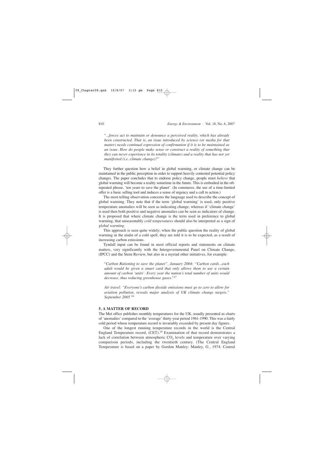"*...forces act to maintain or denounce a perceived reality, which has already been constructed. That is, an issue introduced by science (or media for that matter) needs continual expression of confirmation if it is to be maintained as an issue. How do people make sense or construct a reality of something that they can never experience in its totality (climate) and a reality that has not yet manifested (i.e. climate change)?*"

They further question how a belief in global warming, or climate change can be maintained in the public perception in order to support heavily contested potential policy changes. The paper concludes that to endorse policy change, people must *believe* that global warming will become a reality sometime in the future. This is embodied in the oftrepeated phrase, 'ten years to save the planet'. (In commerce, the use of a time-limited offer is a basic selling tool and induces a sense of urgency and a call to action.)

The most telling observation concerns the language used to describe the concept of global warming. They note that if the term 'global warming' is used, only positive temperature anomalies will be seen as indicating change, whereas if 'climate change' is used then both positive and negative anomalies can be seen as indicators of change. It is proposed that where climate change is the term used in preference to global warming, that unseasonably *cold temperatures* should also be interpreted as a sign of *global warming*.

This approach is seen quite widely; when the public question the reality of global warming in the midst of a cold spell, they are told it is to be expected, as a result of increasing carbon emissions.

Tyndall input can be found in most official reports and statements on climate matters, very significantly with the Intergovernmental Panel on Climate Change, (IPCC) and the Stern Review, but also in a myriad other initiatives, for example:

"*Carbon Rationing to save the planet", January 2004: "Carbon cards...each adult would be given a smart card that only allows them to use a certain amount of carbon 'units'. Every year the nation's total number of units would decrease, thus reducing greenhouse gases.*"17

*Air travel: "Everyone's carbon dioxide emissions must go to zero to allow for aviation pollution, reveals major analysis of UK climate change targets." September 2005* <sup>18</sup>

#### **5. A MATTER OF RECORD**

The Met office publishes monthly temperatures for the UK, usually presented as charts of 'anomalies' compared to the 'average' thirty-year period 1961-1990. This was a fairly cold period whose temperature record is invariably exceeded by present day figures.

One of the longest running temperature records in the world is the Central England Temperature record,  $(CET)$ <sup>19</sup> Examination of that record demonstrates a lack of correlation between atmospheric  $CO<sub>2</sub>$  levels and temperature over varying comparison periods, including the twentieth century. (The Central England Temperature is based on a paper by Gordon Manley: Manley, G., 1974: Central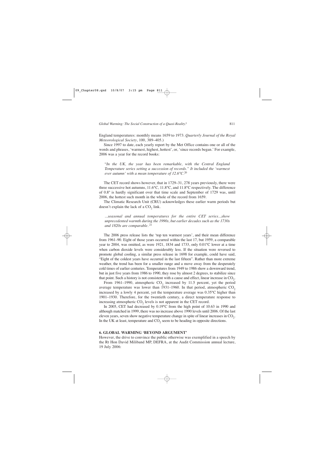England temperatures: monthly means 1659 to 1973. *Quarterly Journal of the Royal Meteorological Society*, 100, 389–405.)

Since 1997 to date, each yearly report by the Met Office contains one or all of the words and phrases, 'warmest, highest, hottest', or, 'since records began.' For example, 2006 was a year for the record books:

"*In the UK, the year has been remarkable, with the Central England Temperature series setting a succession of records." It included the 'warmest ever autumn' with a mean temperature of 12.6°C.*<sup>20</sup>

The CET record shows however, that in 1729–31, 278 years previously, there were three successive hot autumns, 11.6°C, 11.8°C, and 11.8°C respectively. The difference of 0.8º is hardly significant over that time scale and September of 1729 was, until 2006, the hottest such month in the whole of the record from 1659.

The Climatic Research Unit (CRU) acknowledges these earlier warm periods but doesn't explain the lack of a  $CO<sub>2</sub>$  link.

*...seasonal and annual temperatures for the entire CET series...show unprecedented warmth during the 1990s, but earlier decades such as the 1730s and 1820s are comparable.* <sup>21</sup>

The 2006 press release lists the 'top ten warmest years', and their mean difference from 1961–90. Eight of those years occurred within the last 17, but 1959, a comparable year to 2004, was omitted, as were 1921, 1834 and 1733, only 0.01°C lower at a time when carbon dioxide levels were considerably less. If the situation were reversed to promote global cooling, a similar press release in 1698 for example, could have said, "Eight of the coldest years have occurred in the last fifteen". Rather than more extreme weather, the trend has been for a smaller range and a move away from the desperately cold times of earlier centuries. Temperatures from 1949 to 1986 show a downward trend, but in just five years from 1986 to 1990, they rose by almost 2 degrees, to stabilize since that point. Such a history is not consistent with a cause and effect, linear increase in  $CO<sub>2</sub>$ .

From  $1961-1990$ , atmospheric CO<sub>2</sub> increased by 11.5 percent, yet the period average temperature was lower than  $1931-1960$ . In that period, atmospheric CO<sub>2</sub> increased by a lowly 4 percent, yet the temperature average was 0.35°C higher than 1901–1930. Therefore, for the twentieth century, a direct temperature response to increasing atmospheric  $CO<sub>2</sub>$  levels is not apparent in the CET record.

In 2005, CET had decreased by 0.19°C from the high point of 10.63 in 1990 and although matched in 1999, there was no increase above 1990 levels until 2006. Of the last eleven years, seven show negative temperature change in spite of linear increases in  $CO<sub>2</sub>$ . In the UK at least, temperature and  $CO<sub>2</sub>$  seem to be heading in opposite directions.

#### **6. GLOBAL WARMING 'BEYOND ARGUMENT'**

However, the drive to convince the public otherwise was exemplified in a speech by the Rt Hon David Miliband MP, DEFRA, at the Audit Commission annual lecture, 19 July 2006: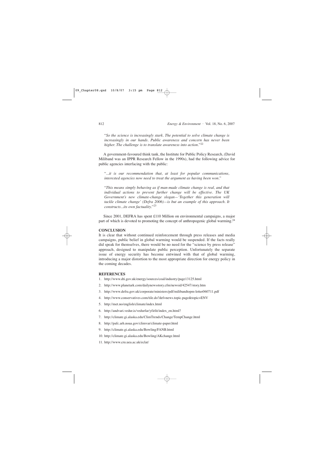"*So the science is increasingly stark. The potential to solve climate change is increasingly in our hands. Public awareness and concern has never been higher. The challenge is to translate awareness into action.*"22

A government-favoured think tank, the Institute for Public Policy Research, (David Miliband was an IPPR Research Fellow in the 1990s), had the following advice for public agencies interfacing with the public:

"*...it is our recommendation that, at least for popular communications, interested agencies now need to treat the argument as having been won.*"

"*This means simply behaving as if man-made climate change is real, and that individual actions to prevent further change will be effective. The UK Government's new climate-change slogan—'Together this generation will tackle climate change' (Defra 2006)—is but an example of this approach. It constructs...its own factuality.*"23

Since 2001, DEFRA has spent £110 Million on environmental campaigns, a major part of which is devoted to promoting the concept of anthropogenic global warming.<sup>24</sup>

#### **CONCLUSION**

It is clear that without continued reinforcement through press releases and media campaigns, public belief in global warming would be suspended. If the facts really did speak for themselves, there would be no need for the "science by press release" approach, designed to manipulate public perception. Unfortunately the separate issue of energy security has become entwined with that of global warming, introducing a major distortion to the most appropriate direction for energy policy in the coming decades.

#### **REFERENCES**

- 1. http://www.dti.gov.uk/energy/sources/coal/industry/page13125.html
- 2. http://www.planetark.com/dailynewsstory.cfm/newsid/42547/story.htm
- 3. http://www.defra.gov.uk/corporate/ministers/pdf/milibandtopm-letter060711.pdf
- 4. http://www.conservatives.com/tile.do?def=news.topic.page&topic=ENV
- 5. http://met.no/english/climate/index.html
- 6. http://andvari.vedur.is/vedurfar/yfirlit/index\_en.html?
- 7. http://climate.gi.alaska.edu/ClimTrends/Change/TempChange.html
- 8. http://pafc.arh.noaa.gov/climvar/climate-paper.html
- 9. http://climate.gi.alaska.edu/Bowling/FANB.html
- 10. http://climate.gi.alaska.edu/Bowling/AKchange.html
- 11. http://www.cru.uea.ac.uk/eclat/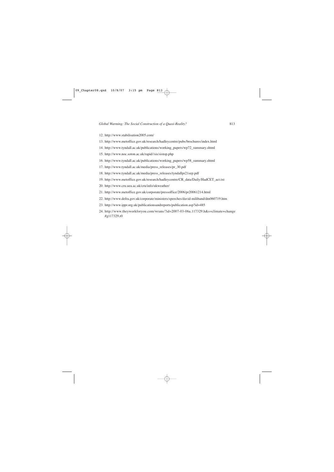- 12. http://www.stabilisation2005.com/
- 13. http://www.metoffice.gov.uk/research/hadleycentre/pubs/brochures/index.html
- 14. http://www.tyndall.ac.uk/publications/working\_papers/wp72\_summary.shtml
- 15. http://www.noc.soton.ac.uk/rapid//sis/sistop.php
- 16. http://www.tyndall.ac.uk/publications/working\_papers/wp58\_summary.shtml
- 17. http://www.tyndall.ac.uk/media/press\_releases/pr\_30.pdf
- 18. http://www.tyndall.ac.uk/media/press\_releases/tyndallpr21sep.pdf
- 19. http://www.metoffice.gov.uk/research/hadleycentre/CR\_data/Daily/HadCET\_act.txt
- 20. http://www.cru.uea.ac.uk/cru/info/ukweather/
- 21. http://www.metoffice.gov.uk/corporate/pressoffice/2006/pr20061214.html
- 22. http://www.defra.gov.uk/corporate/ministers/speeches/david-miliband/dm060719.htm
- 23. http://www.ippr.org.uk/publicationsandreports/publication.asp?id=485
- 24. http://www.theyworkforyou.com/wrans/?id=2007-03-06a.117329.h&s=climate+change #g117329.r0